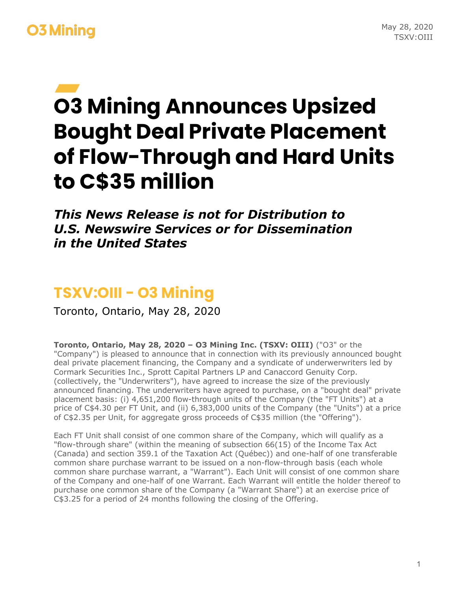# **O3 Mining Announces Upsized Bought Deal Private Placement of Flow-Through and Hard Units to C\$35 million**

*This News Release is not for Distribution to U.S. Newswire Services or for Dissemination in the United States*

### **TSXV:OIII - O3 Mining**

Toronto, Ontario, May 28, 2020

**Toronto, Ontario, May 28, 2020 – O3 Mining Inc. (TSXV: OIII)** ("O3" or the "Company") is pleased to announce that in connection with its previously announced bought deal private placement financing, the Company and a syndicate of underwerwriters led by Cormark Securities Inc., Sprott Capital Partners LP and Canaccord Genuity Corp. (collectively, the "Underwriters"), have agreed to increase the size of the previously announced financing. The underwriters have agreed to purchase, on a "bought deal" private placement basis: (i) 4,651,200 flow-through units of the Company (the "FT Units") at a price of C\$4.30 per FT Unit, and (ii) 6,383,000 units of the Company (the "Units") at a price of C\$2.35 per Unit, for aggregate gross proceeds of C\$35 million (the "Offering").

Each FT Unit shall consist of one common share of the Company, which will qualify as a "flow-through share" (within the meaning of subsection 66(15) of the Income Tax Act (Canada) and section 359.1 of the Taxation Act (Québec)) and one-half of one transferable common share purchase warrant to be issued on a non-flow-through basis (each whole common share purchase warrant, a "Warrant"). Each Unit will consist of one common share of the Company and one-half of one Warrant. Each Warrant will entitle the holder thereof to purchase one common share of the Company (a "Warrant Share") at an exercise price of C\$3.25 for a period of 24 months following the closing of the Offering.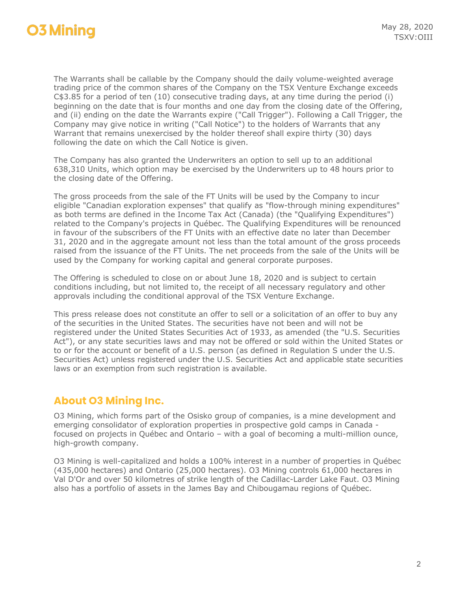

The Warrants shall be callable by the Company should the daily volume-weighted average trading price of the common shares of the Company on the TSX Venture Exchange exceeds C\$3.85 for a period of ten (10) consecutive trading days, at any time during the period (i) beginning on the date that is four months and one day from the closing date of the Offering, and (ii) ending on the date the Warrants expire ("Call Trigger"). Following a Call Trigger, the Company may give notice in writing ("Call Notice") to the holders of Warrants that any Warrant that remains unexercised by the holder thereof shall expire thirty (30) days following the date on which the Call Notice is given.

The Company has also granted the Underwriters an option to sell up to an additional 638,310 Units, which option may be exercised by the Underwriters up to 48 hours prior to the closing date of the Offering.

The gross proceeds from the sale of the FT Units will be used by the Company to incur eligible "Canadian exploration expenses" that qualify as "flow-through mining expenditures" as both terms are defined in the Income Tax Act (Canada) (the "Qualifying Expenditures") related to the Company's projects in Québec. The Qualifying Expenditures will be renounced in favour of the subscribers of the FT Units with an effective date no later than December 31, 2020 and in the aggregate amount not less than the total amount of the gross proceeds raised from the issuance of the FT Units. The net proceeds from the sale of the Units will be used by the Company for working capital and general corporate purposes.

The Offering is scheduled to close on or about June 18, 2020 and is subject to certain conditions including, but not limited to, the receipt of all necessary regulatory and other approvals including the conditional approval of the TSX Venture Exchange.

This press release does not constitute an offer to sell or a solicitation of an offer to buy any of the securities in the United States. The securities have not been and will not be registered under the United States Securities Act of 1933, as amended (the "U.S. Securities Act"), or any state securities laws and may not be offered or sold within the United States or to or for the account or benefit of a U.S. person (as defined in Regulation S under the U.S. Securities Act) unless registered under the U.S. Securities Act and applicable state securities laws or an exemption from such registration is available.

#### **About O3 Mining Inc.**

O3 Mining, which forms part of the Osisko group of companies, is a mine development and emerging consolidator of exploration properties in prospective gold camps in Canada focused on projects in Québec and Ontario – with a goal of becoming a multi-million ounce, high-growth company.

O3 Mining is well-capitalized and holds a 100% interest in a number of properties in Québec (435,000 hectares) and Ontario (25,000 hectares). O3 Mining controls 61,000 hectares in Val D'Or and over 50 kilometres of strike length of the Cadillac-Larder Lake Faut. O3 Mining also has a portfolio of assets in the James Bay and Chibougamau regions of Québec.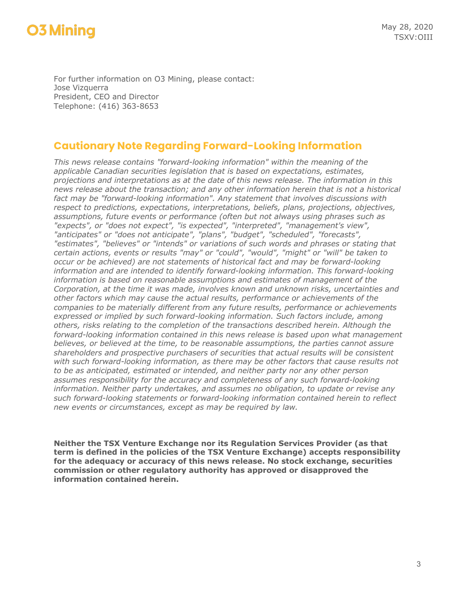## **O3 Mining**

For further information on O3 Mining, please contact: Jose Vizquerra President, CEO and Director Telephone: (416) 363-8653

#### **Cautionary Note Regarding Forward-Looking Information**

*This news release contains "forward-looking information" within the meaning of the applicable Canadian securities legislation that is based on expectations, estimates, projections and interpretations as at the date of this news release. The information in this news release about the transaction; and any other information herein that is not a historical fact may be "forward-looking information". Any statement that involves discussions with respect to predictions, expectations, interpretations, beliefs, plans, projections, objectives, assumptions, future events or performance (often but not always using phrases such as "expects", or "does not expect", "is expected", "interpreted", "management's view", "anticipates" or "does not anticipate", "plans", "budget", "scheduled", "forecasts", "estimates", "believes" or "intends" or variations of such words and phrases or stating that certain actions, events or results "may" or "could", "would", "might" or "will" be taken to occur or be achieved) are not statements of historical fact and may be forward-looking information and are intended to identify forward-looking information. This forward-looking information is based on reasonable assumptions and estimates of management of the Corporation, at the time it was made, involves known and unknown risks, uncertainties and other factors which may cause the actual results, performance or achievements of the companies to be materially different from any future results, performance or achievements expressed or implied by such forward-looking information. Such factors include, among others, risks relating to the completion of the transactions described herein. Although the forward-looking information contained in this news release is based upon what management believes, or believed at the time, to be reasonable assumptions, the parties cannot assure shareholders and prospective purchasers of securities that actual results will be consistent with such forward-looking information, as there may be other factors that cause results not to be as anticipated, estimated or intended, and neither party nor any other person assumes responsibility for the accuracy and completeness of any such forward-looking information. Neither party undertakes, and assumes no obligation, to update or revise any such forward-looking statements or forward-looking information contained herein to reflect new events or circumstances, except as may be required by law.*

**Neither the TSX Venture Exchange nor its Regulation Services Provider (as that term is defined in the policies of the TSX Venture Exchange) accepts responsibility for the adequacy or accuracy of this news release. No stock exchange, securities commission or other regulatory authority has approved or disapproved the information contained herein.**